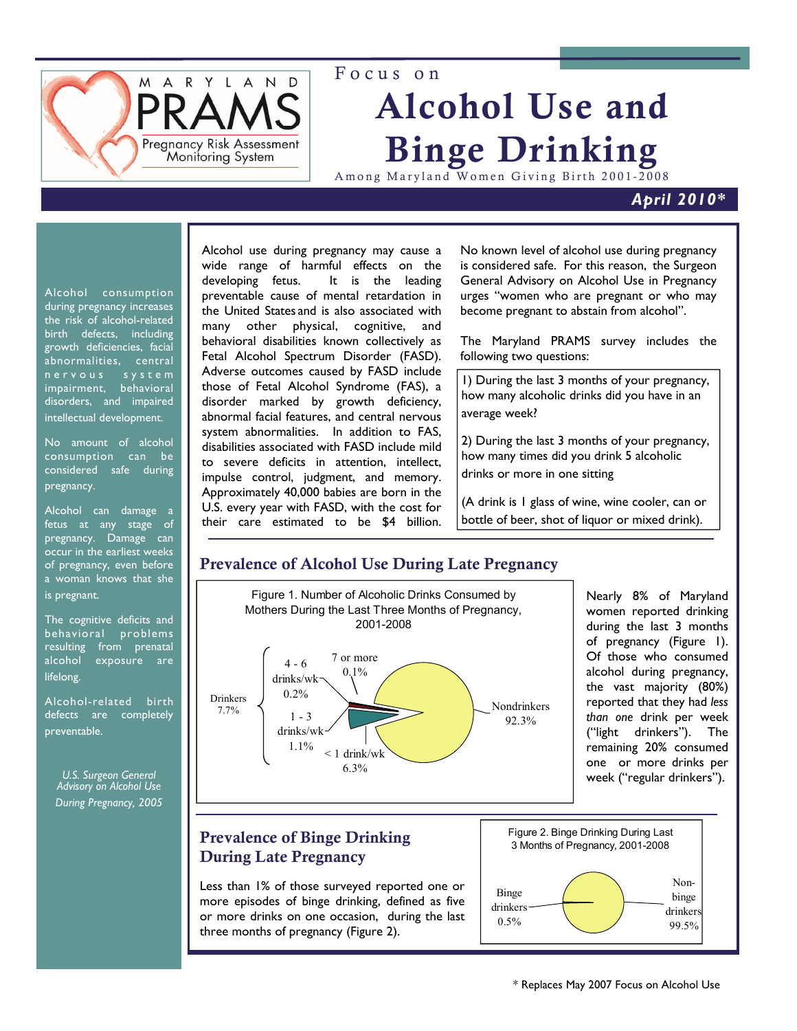

# Focus on Alcohol Use and Binge Drinking

Among Maryland Women Giving Birth 2001-2008

#### *April 2010\**

Alcohol consumption during pregnancy increases the risk of alcohol-related birth defects, including growth deficiencies, facial abnormalities, central n e r v o u s s y s t e m impairment, behavioral disorders, and impaired intellectual development.

No amount of alcohol consumption can be considered safe during pregnancy.

Alcohol can damage a fetus at any stage of pregnancy. Damage can occur in the earliest weeks of pregnancy, even before a woman knows that she is pregnant.

The cognitive deficits and behavioral problems resulting from prenatal alcohol exposure are lifelong.

Alcohol-related birth defects are completely preventable.

*U.S. Surgeon General Advisory on Alcohol Use During Pregnancy, 2005* 

Alcohol use during pregnancy may cause a wide range of harmful effects on the developing fetus. It is the leading preventable cause of mental retardation in the United States and is also associated with many other physical, cognitive, and behavioral disabilities known collectively as Fetal Alcohol Spectrum Disorder (FASD). Adverse outcomes caused by FASD include those of Fetal Alcohol Syndrome (FAS), a disorder marked by growth deficiency, abnormal facial features, and central nervous system abnormalities. In addition to FAS, disabilities associated with FASD include mild to severe deficits in attention, intellect, impulse control, judgment, and memory. Approximately 40,000 babies are born in the U.S. every year with FASD, with the cost for their care estimated to be \$4 billion.

No known level of alcohol use during pregnancy is considered safe. For this reason, the Surgeon General Advisory on Alcohol Use in Pregnancy urges "women who are pregnant or who may become pregnant to abstain from alcohol".

The Maryland PRAMS survey includes the following two questions:

1) During the last 3 months of your pregnancy, how many alcoholic drinks did you have in an average week?

2) During the last 3 months of your pregnancy, how many times did you drink 5 alcoholic drinks or more in one sitting

(A drink is 1 glass of wine, wine cooler, can or bottle of beer, shot of liquor or mixed drink).

# Prevalence of Alcohol Use During Late Pregnancy



Less than 1% of those surveyed reported one or more episodes of binge drinking, defined as five or more drinks on one occasion, during the last three months of pregnancy (Figure 2).

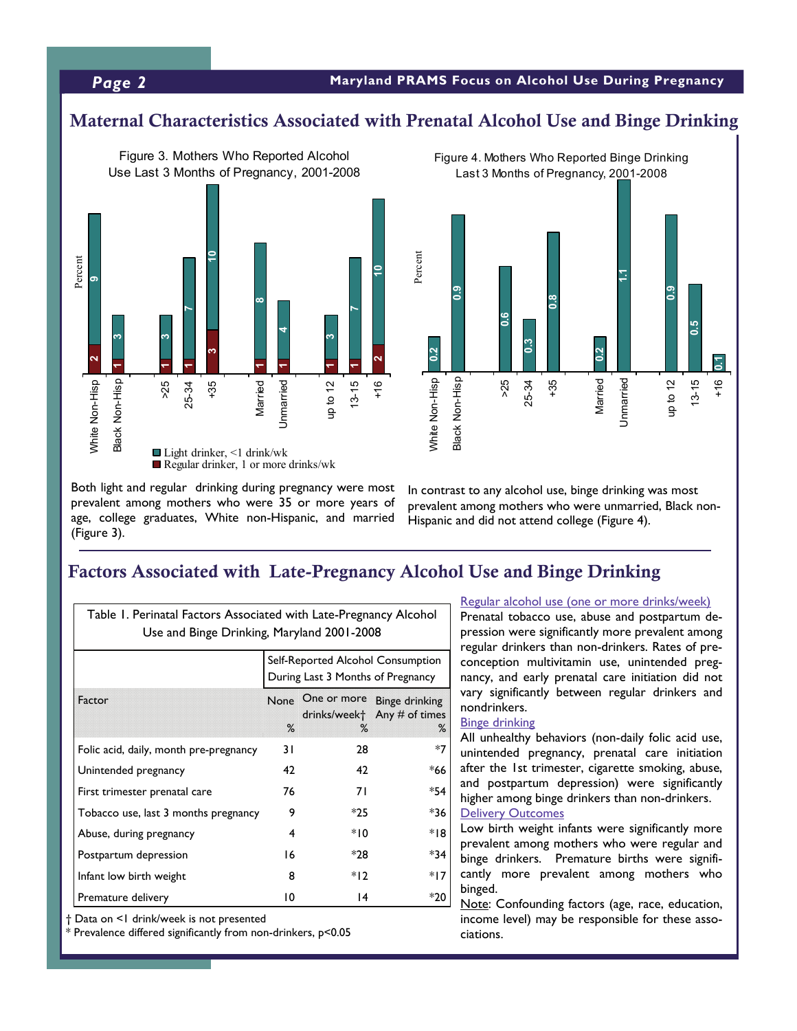#### *Page 2* **Maryland PRAMS Focus on Alcohol Use During Pregnancy**

## Maternal Characteristics Associated with Prenatal Alcohol Use and Binge Drinking





Both light and regular drinking during pregnancy were most prevalent among mothers who were 35 or more years of age, college graduates, White non-Hispanic, and married (Figure 3).

In contrast to any alcohol use, binge drinking was most prevalent among mothers who were unmarried, Black non-Hispanic and did not attend college (Figure 4).

# Factors Associated with Late-Pregnancy Alcohol Use and Binge Drinking

| Table 1. Perinatal Factors Associated with Late-Pregnancy Alcohol |                                                                        |       |                                                                                 |
|-------------------------------------------------------------------|------------------------------------------------------------------------|-------|---------------------------------------------------------------------------------|
| Use and Binge Drinking, Maryland 2001-2008                        |                                                                        |       |                                                                                 |
|                                                                   | Self-Reported Alcohol Consumption<br>During Last 3 Months of Pregnancy |       |                                                                                 |
| Factor                                                            | $\%$                                                                   | $\%$  | None One or more Binge drinking<br>drinks/week <sup>+</sup> Any # of times<br>℅ |
| Folic acid, daily, month pre-pregnancy                            | 31                                                                     | 28    | $*7$                                                                            |
| Unintended pregnancy                                              | 42                                                                     | 42    | *66                                                                             |
| First trimester prenatal care                                     | 76                                                                     | 71    | *54                                                                             |
| Tobacco use, last 3 months pregnancy                              | 9                                                                      | $*25$ | *36                                                                             |
| Abuse, during pregnancy                                           | 4                                                                      | $*10$ | *18                                                                             |
| Postpartum depression                                             | 16                                                                     | *28   | *34                                                                             |
| Infant low birth weight                                           | 8                                                                      | $*12$ | *17                                                                             |
| Premature delivery                                                | 10                                                                     | 14    | $*20$                                                                           |

† Data on <1 drink/week is not presented

\* Prevalence differed significantly from non-drinkers, p<0.05

#### Regular alcohol use (one or more drinks/week)

Prenatal tobacco use, abuse and postpartum depression were significantly more prevalent among regular drinkers than non-drinkers. Rates of preconception multivitamin use, unintended pregnancy, and early prenatal care initiation did not vary significantly between regular drinkers and nondrinkers.

#### Binge drinking

All unhealthy behaviors (non-daily folic acid use, unintended pregnancy, prenatal care initiation after the 1st trimester, cigarette smoking, abuse, and postpartum depression) were significantly higher among binge drinkers than non-drinkers. **Delivery Outcomes** 

Low birth weight infants were significantly more prevalent among mothers who were regular and binge drinkers. Premature births were significantly more prevalent among mothers who binged.

Note: Confounding factors (age, race, education, income level) may be responsible for these associations.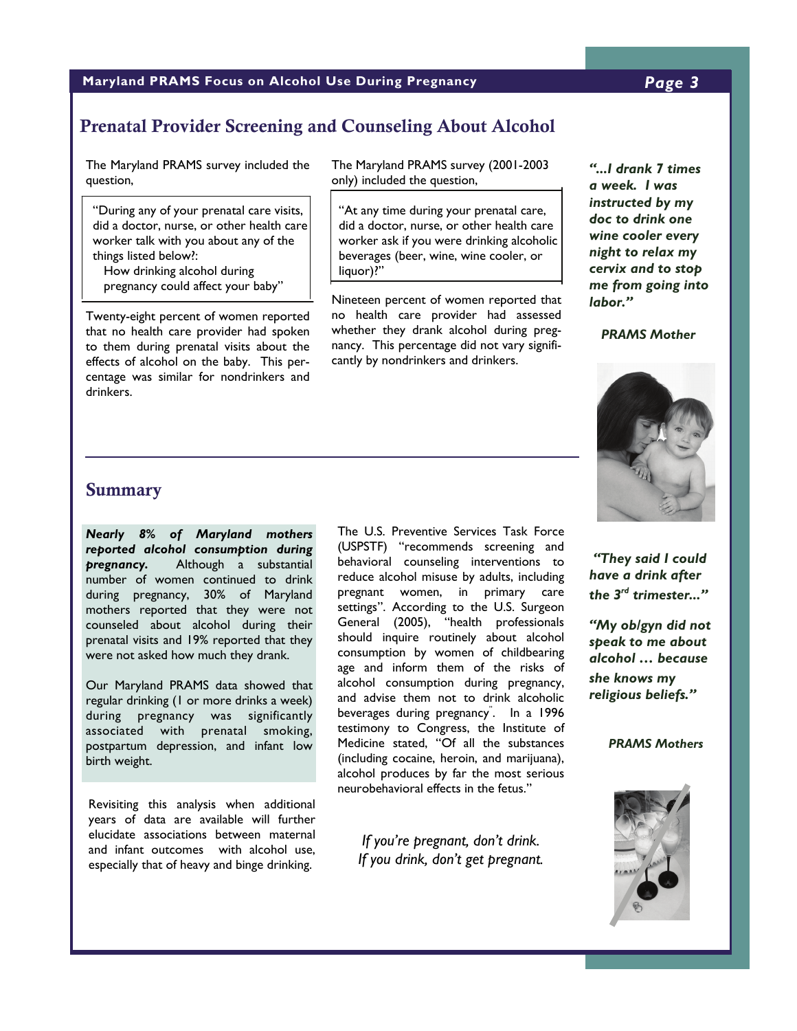#### **Maryland PRAMS Focus on Alcohol Use During Pregnancy** *Page 3*

# Prenatal Provider Screening and Counseling About Alcohol

The Maryland PRAMS survey included the question,

 "During any of your prenatal care visits, did a doctor, nurse, or other health care worker talk with you about any of the things listed below?:

 How drinking alcohol during pregnancy could affect your baby"

Twenty-eight percent of women reported that no health care provider had spoken to them during prenatal visits about the effects of alcohol on the baby. This percentage was similar for nondrinkers and drinkers.

The Maryland PRAMS survey (2001-2003 only) included the question,

 "At any time during your prenatal care, did a doctor, nurse, or other health care worker ask if you were drinking alcoholic beverages (beer, wine, wine cooler, or liquor)?"

Nineteen percent of women reported that no health care provider had assessed whether they drank alcohol during pregnancy. This percentage did not vary significantly by nondrinkers and drinkers.

*"...I drank 7 times a week. I was instructed by my doc to drink one wine cooler every night to relax my cervix and to stop me from going into labor."* 

#### *PRAMS Mother*



*"They said I could have a drink after the 3rd trimester..."* 

*"My ob/gyn did not speak to me about alcohol … because she knows my religious beliefs."* 

*PRAMS Mothers*



#### Summary

*Nearly 8% of Maryland mothers reported alcohol consumption during pregnancy.* Although a substantial number of women continued to drink during pregnancy, 30% of Maryland mothers reported that they were not counseled about alcohol during their prenatal visits and 19% reported that they were not asked how much they drank.

Our Maryland PRAMS data showed that regular drinking (1 or more drinks a week) during pregnancy was significantly associated with prenatal smoking, postpartum depression, and infant low birth weight.

Revisiting this analysis when additional years of data are available will further elucidate associations between maternal and infant outcomes with alcohol use, especially that of heavy and binge drinking.

The U.S. Preventive Services Task Force (USPSTF) "recommends screening and behavioral counseling interventions to reduce alcohol misuse by adults, including pregnant women, in primary care settings". According to the U.S. Surgeon General (2005), "health professionals should inquire routinely about alcohol consumption by women of childbearing age and inform them of the risks of alcohol consumption during pregnancy, and advise them not to drink alcoholic beverages during pregnancy" . In a 1996 testimony to Congress, the Institute of Medicine stated, "Of all the substances (including cocaine, heroin, and marijuana), alcohol produces by far the most serious neurobehavioral effects in the fetus."

*If you're pregnant, don't drink. If you drink, don't get pregnant.*